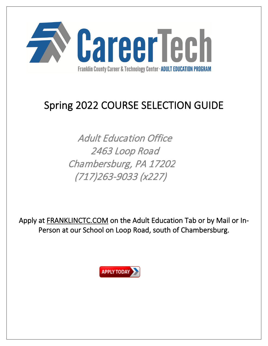

# Spring 2022 COURSE SELECTION GUIDE

Adult Education Office 2463 Loop Road Chambersburg, PA 17202 (717)263-9033 (x227)

Apply at FRANKLINCTC.COM on the Adult Education Tab or by Mail or In-Person at our School on Loop Road, south of Chambersburg.

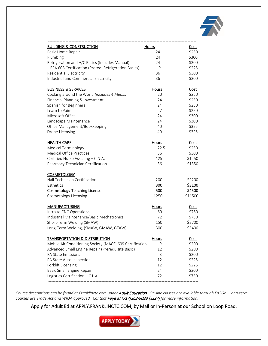

| <b>BUILDING &amp; CONSTRUCTION</b>                       | <b>Hours</b> | <b>Cost</b> |
|----------------------------------------------------------|--------------|-------------|
| Basic Home Repair                                        | 24           | \$250       |
| Plumbing                                                 | 24           | \$300       |
| Refrigeration and A/C Basics (Includes Manual)           | 24           | \$300       |
| EPA 608 Certification (Prereq: Refrigeration Basics)     | 9            | \$225       |
| Residential Electricity                                  | 36           | \$300       |
| Industrial and Commercial Electricity                    | 36           | \$300       |
| <b>BUSINESS &amp; SERVICES</b>                           | <b>Hours</b> | Cost        |
| Cooking around the World (includes 4 Meals)              | 20           | \$250       |
| Financial Planning & Investment                          | 24           | \$250       |
| Spanish for Beginners                                    | 24           | \$250       |
| Learn to Paint                                           | 27           | \$250       |
| Microsoft Office                                         | 24           | \$300       |
| Landscape Maintenance                                    | 24           | \$300       |
| Office Management/Bookkeeping                            | 40           | \$325       |
| Drone Licensing                                          | 40           | \$325       |
| <b>HEALTH CARE</b>                                       | <b>Hours</b> | Cost        |
| <b>Medical Terminology</b>                               | 22.5         | \$250       |
| <b>Medical Office Practices</b>                          | 36           | \$300       |
| Certified Nurse Assisting - C.N.A.                       | 125          | \$1250      |
| Pharmacy Technician Certification                        | 36           | \$1350      |
| <b>COSMETOLOGY</b>                                       |              |             |
| Nail Technician Certification                            | 200          | \$2200      |
| Esthetics                                                | 300          | \$3100      |
| <b>Cosmetology Teaching License</b>                      | 500          | \$4500      |
| Cosmetology Licensing                                    | 1250         | \$11500     |
| <b>MANUFACTURING</b>                                     | <b>Hours</b> | Cost        |
| Intro to CNC Operations                                  | 60           | \$750       |
| Industrial Maintenance/Basic Mechatronics                | 72           | \$750       |
| Short-Term Welding (SMAW)                                | 150          | \$2700      |
| Long-Term Welding, (SMAW, GMAW, GTAW)                    | 300          | \$5400      |
| <b>TRANSPORTATION &amp; DISTRIBUTION</b>                 | <b>Hours</b> | Cost        |
| Mobile Air Conditioning Society (MACS) 609 Certification | 9            | \$200       |
| Advanced Small Engine Repair (Prerequisite Basic)        | 12           | \$200       |
| PA State Emissions                                       | 8            | \$200       |
| PA State Auto Inspection                                 | 12           | \$225       |
| Forklift Licensing                                       | 12           | \$225       |
| Basic Small Engine Repair                                | 24           | \$300       |
| Logistics Certification - C.L.A.                         | 72           | \$750       |

*Course descriptions can be found at Franklinctc.com under* Adult Education*. On-line classes are available through Ed2Go. Long-term courses are Trade Act and WIOA approved. Contact* Faye at (717)263-9033 (x227) *for more information.*

Apply for Adult Ed at **APPLY.FRANKLINCTC.COM**, by Mail or In-Person at our School on Loop Road.

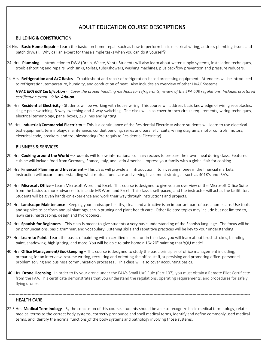# ADULT EDUCATION COURSE DESCRIPTIONS

#### BUILDING & CONSTRUCTION

- 24 Hrs **Basic Home Repair** Learn the basics on home repair such as how to perform basic electrical wiring, address plumbing issues and patch drywall. Why call an expert for these simple tasks when you can do it yourself?
- 24 Hrs **Plumbing** Introduction to DWV (Drain, Waste, Vent). Students will also learn about water supply systems, installation techniques, troubleshooting and repairs, with sinks, toilets, tubs/showers, washing machines, plus backflow prevention and pressure reducers.
- 24 Hrs **Refrigeration and A/C Basics** Troubleshoot and repair of refrigeration-based processing equipment. Attendees will be introduced to refrigeration, temperature, humidity, and conduction of heat. Also includes an overview of other HVAC Systems.

*HVAC EPA 608 Certification - Cover the proper handling methods for refrigerants, review of the EPA 608 regulations. Includes proctored certification exam – 9 Hr. Add-on.*

- 36 Hrs **Residential Electricity** Students will be working with house wiring. This course will address basic knowledge of wiring receptacles, single pole switching, 3-way switching and 4-way switching. The class will also cover branch circuit requirements, wiring techniques, electrical terminology, panel boxes, 220 lines and lighting.
- 36 Hrs **Industrial/Commercial Electricity** This is a continuance of the Residential Electricity where students will learn to use electrical test equipment, terminology, maintenance, conduit bending, series and parallel circuits, wiring diagrams, motor controls, motors, electrical code, breakers, and troubleshooting (Pre-requisite Residential Electricity).

#### BUSINESS & SERVICES

- 20 Hrs **Cooking around the World** Students will follow international culinary recipes to prepare their own meal during class. Featured cuisine will include food from Germany, France, Italy, and Latin America. Impress your family with a global flair for cooking.
- 24 Hrs **Financial Planning and Investment** This class will provide an introduction into investing money in the financial markets. Instruction will occur in understanding what mutual funds are and varying investment strategies such as 401K's and IRA's.
- 24 Hrs **Microsoft Office** Learn Microsoft Word and Excel. This course is designed to give you an overview of the Microsoft Office Suite from the basics to more advanced to include MS Word and Excel. This class is self-paced, and the instructor will act as the facilitator. Students will be given hands-on experience and work their way through instructions and projects.
- 24 Hrs **Landscape Maintenance** Keeping your landscape healthy, clean and attractive is an important part of basic home care. Use [tools](https://en.wikipedia.org/wiki/Tool) and supplies to perform annual plantings, [shrub](https://en.wikipedia.org/wiki/Shrubbery) pruning and plant health care. Other Related topics may include but not limited to, [lawn](https://en.wikipedia.org/wiki/Lawn) care, hardscaping, design and hydroponics.
- 24 Hrs **Spanish for Beginners** This class is meant to give students a very basic understanding of the Spanish language. The focus will be on pronunciations, basic grammar, and vocabulary. Listening skills and repetitive practices will be key to your understanding.
- 27 Hrs **Learn to Paint** Learn the basics of painting with a certified instructor. In this class, you will learn about brush strokes, blending paint, shadowing, highlighting, and more. You will be able to take home a 16x 20" painting that YOU made!
- 40 Hrs **Office Management/Bookkeeping** This course is designed to study the basic principles of office management including, preparing for an interview, resume writing, recruiting and orienting the office staff, supervising and promoting office personnel, problem solving and business communication processes . This class will also cover accounting basics.
- 40 Hrs **Drone Licensing** In order to fly your drone under the FAA's Small UAS Rule (Part 107), you must obtain a Remote Pilot Certificate from the FAA. This certificate demonstrates that you understand the regulations, operating requirements, and procedures for safely flying drones.

------------------------------------------------------------------------------------------------------------------------------------------------------------------------------------

#### HEALTH CARE

 22.5 Hrs **Medical Terminology** - By the conclusion of this course, students should be able to recognize basic medical terminology, relate medical terms to the correct body systems, correctly pronounce and spell medical terms, identify and define commonly used medical terms, and identify the normal functions of the body systems and pathology involving those systems.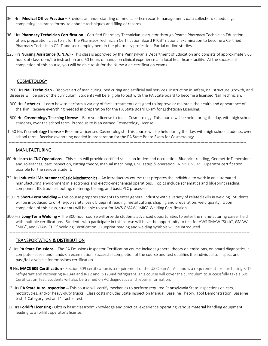- 36 Hrs **Medical Office Practice** Provides an understanding of medical office records management, data collection, scheduling, completing insurance forms, telephone techniques and filing of records.
- 36 Hrs **Pharmacy Technician Certification** Certified Pharmacy Technician Instructor through Pearce Pharmacy Technician Education offers preparation class to sit for the Pharmacy Technician Certification Board PTCB® national examination to become a Certified Pharmacy Technician CPhT and seek employment in the pharmacy profession. Partial on-line studies.
- 125 Hrs **Nursing Assistance (C.N.A.)** This class is approved by the Pennsylvania Department of Education and consists of approximately 65 hours of classroom/lab instruction and 60 hours of hands-on clinical experience at a local healthcare facility. At the successful completion of this course, you will be able to sit for the Nurse Aide certification exams.

#### COSMETOLOGY

200 Hrs **Nail Technician** - Discover art of manicuring, pedicuring and artificial nail services. Instruction in safety, nail structure, growth, and diseases will be part of the curriculum. Students will be eligible to test with the PA State board to become a licensed Nail Technician.

- 300 Hrs Esthetics Learn how to perform a variety of facial treatments designed to improve or maintain the health and appearance of the skin. Receive everything needed in preparation for the PA State Board Exam for Esthetician Licensing.
- 500 Hrs Cosmetology Teaching License Earn your license to teach Cosmetology. This course will be held during the day, with high school students, over the school term. Prerequisite is an earned Cosmetology License.
- 1250 Hrs Cosmetology License Become a Licensed Cosmetologist. This course will be held during the day, with high school students, over school term. Receive everything needed in preparation for the PA State Board Exam for Cosmetology.

---------------------------------------------------------------------------------------------------------------------------------------------------------------------------------

#### MANUFACTURING

- 60 Hrs Intro to CNC Operations This class will provide certified skill in an in-demand occupation. Blueprint reading, Geometric Dimensions and Tolerances, part inspection, cutting theory, manual machining, CNC setup & operation. NIMS CNC Mill Operator certification possible for the serious student.
- 72 Hrs **Industrial Maintenance**/Basic Mechatronics An introductory course that prepares the individual to work in an automated manufacturing environment in electronics and electro-mechanical operations. Topics include schematics and blueprint reading, component ID, troubleshooting, metering, testing, and basic PLC processes.
- 150 Hrs **Short-Term Welding** This course prepares students to enter general industry with a variety of related skills in welding. Students will be introduced to on-the-job safety, basic blueprint reading, metal cutting, shaping and preparation, weld quality. Upon completion of this class, students will be able to test for AWS GMAW "MIG" Welding Certification.
- 300 Hrs **Long-Term Welding** The 300-hour course will provide students advanced opportunities to enter the manufacturing career field with multiple certifications. Students who participate in this course will have the opportunity to test for AWS SMAW "Stick", GMAW "MIG", and GTAW "TIG" Welding Certification. Blueprint reading and welding symbols will be introduced.

------------------------------------------------------------------------------------------------------------------------------------------------------

#### TRANSPORTATION & DISTRIBUTION

- 8 Hrs **PA State Emissions** The PA Emissions Inspector Certification course includes general theory on emissions, on board diagnostics, a computer-based and hands-on examination. Successful completion of the course and test qualifies the individual to inspect and pass/fail a vehicle for emissions certification.
- 9 Hrs **MACS 609 Certification** Section 609 certification is a requirement of the US Clean Air Act and is a requirement for purchasing R-12 refrigerant and recovering R-134a and R-12 and R-1234yf refrigerant. This course will cover the curriculum to successfully take a 609 Certification Test. Students will also be trained on AC diagnostics and repair information.
- 12 Hrs **PA State Auto Inspection** This course will certify mechanics to perform required Pennsylvania State Inspections on cars, motorcycles, and/or heavy-duty trucks. Class costs includes State Inspection Manual, Baseline Theory, Tool Demonstration, Baseline test, 1 Category test and 1 Tactile test.
- 12 Hrs **Forklift Licensing** Obtain basic classroom knowledge and practical experience operating various material handling equipment leading to a forklift operator's license.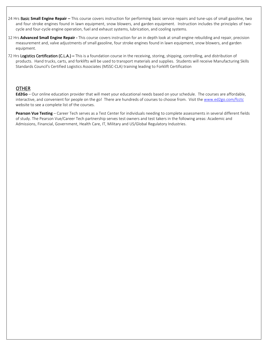- 24 Hrs Basic **Small Engine Repair** This course covers instruction for performing basic service repairs and tune-ups of small gasoline, two and four stroke engines found in lawn equipment, snow blowers, and garden equipment. Instruction includes the principles of twocycle and four-cycle engine operation, fuel and exhaust systems, lubrication, and cooling systems.
- 12 Hrs **Advanced Small Engine Repair -** This course covers instruction for an in depth look at small engine rebuilding and repair, precision measurement and, valve adjustments of small gasoline, four stroke engines found in lawn equipment, snow blowers, and garden equipment.
- 72 Hrs Logistics Certification (C.L.A.) This is a foundation course in the receiving, storing, shipping, controlling, and distribution of products. Hand trucks, carts, and forklifts will be used to transport materials and supplies. Students will receive Manufacturing Skills Standards Council's Certified Logistics Associates (MSSC-CLA) training leading to Forklift Certification

### **OTHER**

**Ed2Go** – Our online education provider that will meet your educational needs based on your schedule. The courses are affordable, interactive, and convenient for people on the go! There are hundreds of courses to choose from. Visit the [www.ed2go.com/fcctc](http://www.ed2go.com/fcctc) website to see a complete list of the courses.

Pearson Vue Testing – Career Tech serves as a Test Center for individuals needing to complete assessments in several different fields of study. The Pearson Vue/Career Tech partnership serves test owners and test takers in the following areas: Academic and Admissions, Financial, Government, Health Care, IT, Military and US/Global Regulatory Industries.